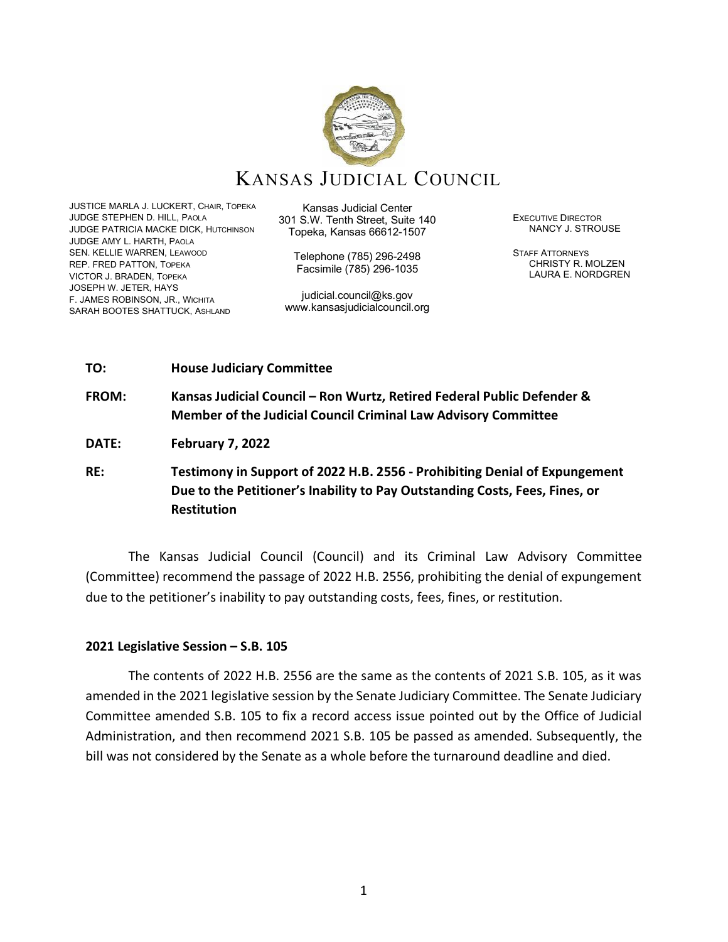

# KANSAS JUDICIAL COUNCIL

JUSTICE MARLA J. LUCKERT, CHAIR, TOPEKA JUDGE STEPHEN D. HILL, PAOLA JUDGE PATRICIA MACKE DICK, HUTCHINSON JUDGE AMY L. HARTH, PAOLA SEN. KELLIE WARREN, LEAWOOD REP. FRED PATTON, TOPEKA VICTOR J. BRADEN, TOPEKA JOSEPH W. JETER, HAYS F. JAMES ROBINSON, JR., WICHITA SARAH BOOTES SHATTUCK, ASHLAND

Kansas Judicial Center 301 S.W. Tenth Street, Suite 140 Topeka, Kansas 66612-1507

Telephone (785) 296-2498 Facsimile (785) 296-1035

judicial.council@ks.gov www.kansasjudicialcouncil.org EXECUTIVE DIRECTOR NANCY J. STROUSE

STAFF ATTORNEYS CHRISTY R. MOLZEN LAURA E. NORDGREN

#### **TO: House Judiciary Committee**

**FROM: Kansas Judicial Council – Ron Wurtz, Retired Federal Public Defender & Member of the Judicial Council Criminal Law Advisory Committee**

**DATE: February 7, 2022**

**RE: Testimony in Support of 2022 H.B. 2556 - Prohibiting Denial of Expungement Due to the Petitioner's Inability to Pay Outstanding Costs, Fees, Fines, or Restitution**

The Kansas Judicial Council (Council) and its Criminal Law Advisory Committee (Committee) recommend the passage of 2022 H.B. 2556, prohibiting the denial of expungement due to the petitioner's inability to pay outstanding costs, fees, fines, or restitution.

## **2021 Legislative Session – S.B. 105**

The contents of 2022 H.B. 2556 are the same as the contents of 2021 S.B. 105, as it was amended in the 2021 legislative session by the Senate Judiciary Committee. The Senate Judiciary Committee amended S.B. 105 to fix a record access issue pointed out by the Office of Judicial Administration, and then recommend 2021 S.B. 105 be passed as amended. Subsequently, the bill was not considered by the Senate as a whole before the turnaround deadline and died.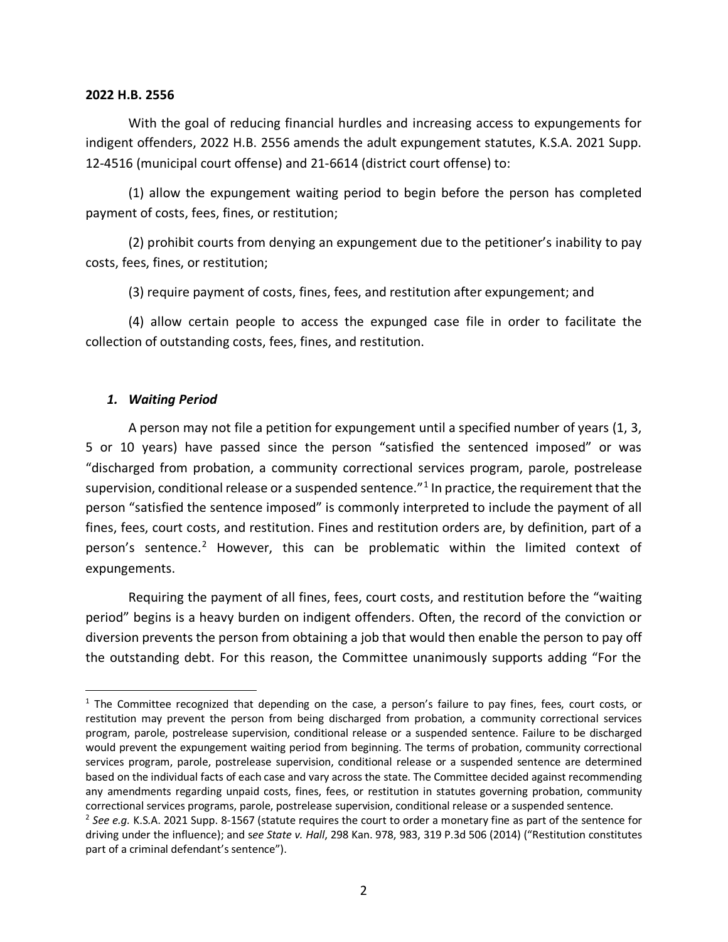#### **2022 H.B. 2556**

With the goal of reducing financial hurdles and increasing access to expungements for indigent offenders, 2022 H.B. 2556 amends the adult expungement statutes, K.S.A. 2021 Supp. 12-4516 (municipal court offense) and 21-6614 (district court offense) to:

(1) allow the expungement waiting period to begin before the person has completed payment of costs, fees, fines, or restitution;

(2) prohibit courts from denying an expungement due to the petitioner's inability to pay costs, fees, fines, or restitution;

(3) require payment of costs, fines, fees, and restitution after expungement; and

(4) allow certain people to access the expunged case file in order to facilitate the collection of outstanding costs, fees, fines, and restitution.

### *1. Waiting Period*

A person may not file a petition for expungement until a specified number of years (1, 3, 5 or 10 years) have passed since the person "satisfied the sentenced imposed" or was "discharged from probation, a community correctional services program, parole, postrelease supervision, conditional release or a suspended sentence."<sup>[1](#page-1-0)</sup> In practice, the requirement that the person "satisfied the sentence imposed" is commonly interpreted to include the payment of all fines, fees, court costs, and restitution. Fines and restitution orders are, by definition, part of a person's sentence.[2](#page-1-1) However, this can be problematic within the limited context of expungements.

Requiring the payment of all fines, fees, court costs, and restitution before the "waiting period" begins is a heavy burden on indigent offenders. Often, the record of the conviction or diversion prevents the person from obtaining a job that would then enable the person to pay off the outstanding debt. For this reason, the Committee unanimously supports adding "For the

<span id="page-1-0"></span><sup>&</sup>lt;sup>1</sup> The Committee recognized that depending on the case, a person's failure to pay fines, fees, court costs, or restitution may prevent the person from being discharged from probation, a community correctional services program, parole, postrelease supervision, conditional release or a suspended sentence. Failure to be discharged would prevent the expungement waiting period from beginning. The terms of probation, community correctional services program, parole, postrelease supervision, conditional release or a suspended sentence are determined based on the individual facts of each case and vary across the state. The Committee decided against recommending any amendments regarding unpaid costs, fines, fees, or restitution in statutes governing probation, community correctional services programs, parole, postrelease supervision, conditional release or a suspended sentence.

<span id="page-1-1"></span><sup>2</sup> *See e.g.* K.S.A. 2021 Supp. 8-1567 (statute requires the court to order a monetary fine as part of the sentence for driving under the influence); and s*ee State v. Hall*, 298 Kan. 978, 983, 319 P.3d 506 (2014) ("Restitution constitutes part of a criminal defendant's sentence").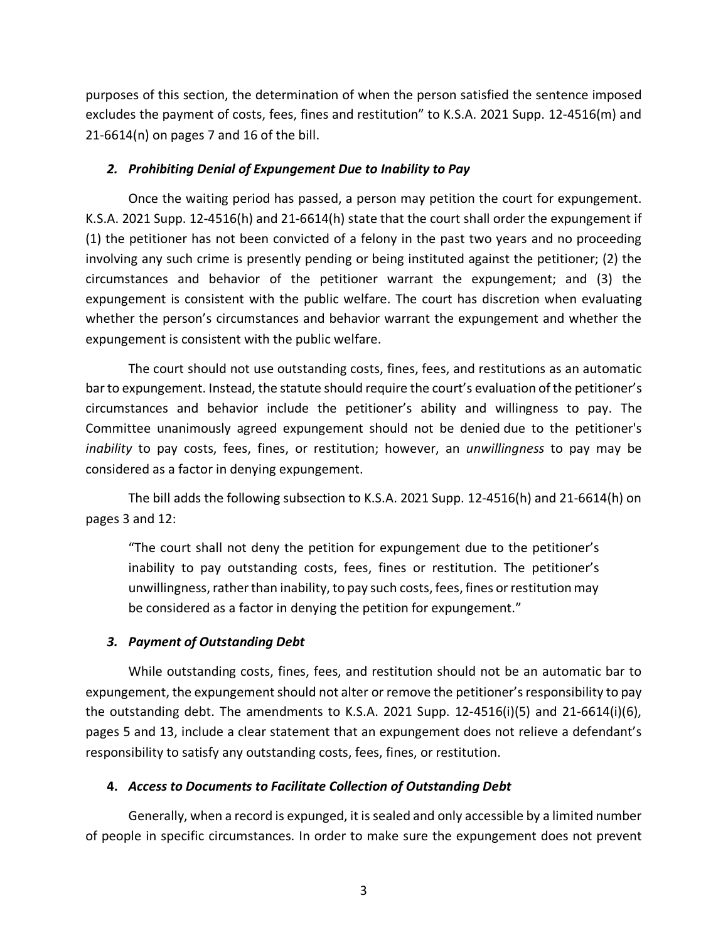purposes of this section, the determination of when the person satisfied the sentence imposed excludes the payment of costs, fees, fines and restitution" to K.S.A. 2021 Supp. 12-4516(m) and 21-6614(n) on pages 7 and 16 of the bill.

## *2. Prohibiting Denial of Expungement Due to Inability to Pay*

Once the waiting period has passed, a person may petition the court for expungement. K.S.A. 2021 Supp. 12-4516(h) and 21-6614(h) state that the court shall order the expungement if (1) the petitioner has not been convicted of a felony in the past two years and no proceeding involving any such crime is presently pending or being instituted against the petitioner; (2) the circumstances and behavior of the petitioner warrant the expungement; and (3) the expungement is consistent with the public welfare. The court has discretion when evaluating whether the person's circumstances and behavior warrant the expungement and whether the expungement is consistent with the public welfare.

The court should not use outstanding costs, fines, fees, and restitutions as an automatic bar to expungement. Instead, the statute should require the court's evaluation of the petitioner's circumstances and behavior include the petitioner's ability and willingness to pay. The Committee unanimously agreed expungement should not be denied due to the petitioner's *inability* to pay costs, fees, fines, or restitution; however, an *unwillingness* to pay may be considered as a factor in denying expungement.

The bill adds the following subsection to K.S.A. 2021 Supp. 12-4516(h) and 21-6614(h) on pages 3 and 12:

"The court shall not deny the petition for expungement due to the petitioner's inability to pay outstanding costs, fees, fines or restitution. The petitioner's unwillingness, rather than inability, to pay such costs, fees, fines or restitution may be considered as a factor in denying the petition for expungement."

## *3. Payment of Outstanding Debt*

While outstanding costs, fines, fees, and restitution should not be an automatic bar to expungement, the expungement should not alter or remove the petitioner's responsibility to pay the outstanding debt. The amendments to K.S.A. 2021 Supp.  $12-4516(i)(5)$  and  $21-6614(i)(6)$ , pages 5 and 13, include a clear statement that an expungement does not relieve a defendant's responsibility to satisfy any outstanding costs, fees, fines, or restitution.

## **4.** *Access to Documents to Facilitate Collection of Outstanding Debt*

Generally, when a record is expunged, it is sealed and only accessible by a limited number of people in specific circumstances. In order to make sure the expungement does not prevent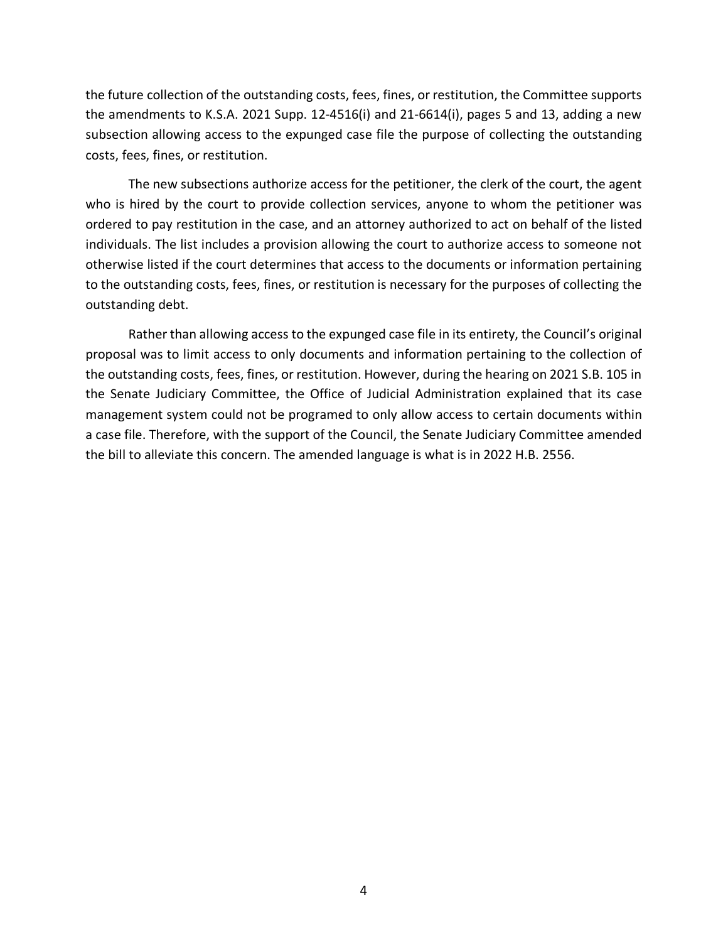the future collection of the outstanding costs, fees, fines, or restitution, the Committee supports the amendments to K.S.A. 2021 Supp. 12-4516(i) and 21-6614(i), pages 5 and 13, adding a new subsection allowing access to the expunged case file the purpose of collecting the outstanding costs, fees, fines, or restitution.

The new subsections authorize access for the petitioner, the clerk of the court, the agent who is hired by the court to provide collection services, anyone to whom the petitioner was ordered to pay restitution in the case, and an attorney authorized to act on behalf of the listed individuals. The list includes a provision allowing the court to authorize access to someone not otherwise listed if the court determines that access to the documents or information pertaining to the outstanding costs, fees, fines, or restitution is necessary for the purposes of collecting the outstanding debt.

Rather than allowing access to the expunged case file in its entirety, the Council's original proposal was to limit access to only documents and information pertaining to the collection of the outstanding costs, fees, fines, or restitution. However, during the hearing on 2021 S.B. 105 in the Senate Judiciary Committee, the Office of Judicial Administration explained that its case management system could not be programed to only allow access to certain documents within a case file. Therefore, with the support of the Council, the Senate Judiciary Committee amended the bill to alleviate this concern. The amended language is what is in 2022 H.B. 2556.